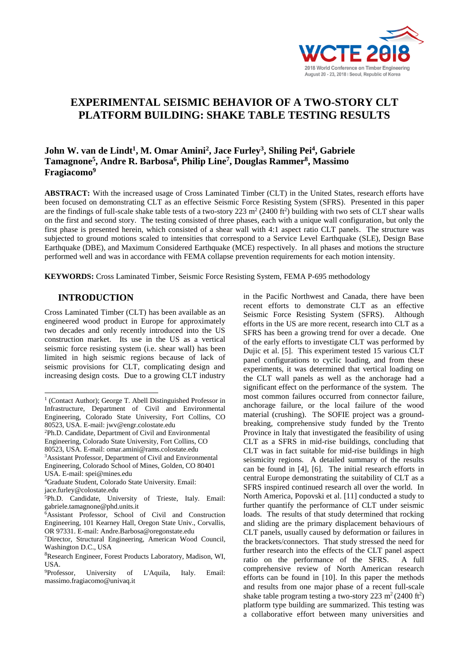

# **EXPERIMENTAL SEISMIC BEHAVIOR OF A TWO-STORY CLT PLATFORM BUILDING: SHAKE TABLE TESTING RESULTS**

# **John W. van de Lindt<sup>1</sup> , M. Omar Amini<sup>2</sup> , Jace Furley<sup>3</sup> , Shiling Pei<sup>4</sup> , Gabriele Tamagnone<sup>5</sup> , Andre R. Barbosa<sup>6</sup> , Philip Line<sup>7</sup> , Douglas Rammer<sup>8</sup> , Massimo Fragiacomo<sup>9</sup>**

**ABSTRACT:** With the increased usage of Cross Laminated Timber (CLT) in the United States, research efforts have been focused on demonstrating CLT as an effective Seismic Force Resisting System (SFRS). Presented in this paper are the findings of full-scale shake table tests of a two-story  $223 \text{ m}^2 (2400 \text{ ft}^2)$  building with two sets of CLT shear walls on the first and second story. The testing consisted of three phases, each with a unique wall configuration, but only the first phase is presented herein, which consisted of a shear wall with 4:1 aspect ratio CLT panels. The structure was subjected to ground motions scaled to intensities that correspond to a Service Level Earthquake (SLE), Design Base Earthquake (DBE), and Maximum Considered Earthquake (MCE) respectively. In all phases and motions the structure performed well and was in accordance with FEMA collapse prevention requirements for each motion intensity.

**KEYWORDS:** Cross Laminated Timber, Seismic Force Resisting System, FEMA P-695 methodology

# **1 INTRODUCTION <sup>123</sup>**

Cross Laminated Timber (CLT) has been available as an engineered wood product in Europe for approximately two decades and only recently introduced into the US construction market. Its use in the US as a vertical seismic force resisting system (i.e. shear wall) has been limited in high seismic regions because of lack of seismic provisions for CLT, complicating design and increasing design costs. Due to a growing CLT industry

<sup>3</sup>Assistant Professor, Department of Civil and Environmental Engineering, Colorado School of Mines, Golden, CO 80401 USA. E-mail: spei@mines.edu

in the Pacific Northwest and Canada, there have been recent efforts to demonstrate CLT as an effective Seismic Force Resisting System (SFRS). Although efforts in the US are more recent, research into CLT as a SFRS has been a growing trend for over a decade. One of the early efforts to investigate CLT was performed by Dujic et al. [5]. This experiment tested 15 various CLT panel configurations to cyclic loading, and from these experiments, it was determined that vertical loading on the CLT wall panels as well as the anchorage had a significant effect on the performance of the system. The most common failures occurred from connector failure, anchorage failure, or the local failure of the wood material (crushing). The SOFIE project was a groundbreaking, comprehensive study funded by the Trento Province in Italy that investigated the feasibility of using CLT as a SFRS in mid-rise buildings, concluding that CLT was in fact suitable for mid-rise buildings in high seismicity regions. A detailed summary of the results can be found in [4], [6]. The initial research efforts in central Europe demonstrating the suitability of CLT as a SFRS inspired continued research all over the world. In North America, Popovski et al. [11] conducted a study to further quantify the performance of CLT under seismic loads. The results of that study determined that rocking and sliding are the primary displacement behaviours of CLT panels, usually caused by deformation or failures in the brackets/connectors. That study stressed the need for further research into the effects of the CLT panel aspect ratio on the performance of the SFRS. A full comprehensive review of North American research efforts can be found in [10]. In this paper the methods and results from one major phase of a recent full-scale shake table program testing a two-story 223  $m^2(2400 \text{ ft}^2)$ platform type building are summarized. This testing was a collaborative effort between many universities and

<sup>1</sup> <sup>1</sup> (Contact Author); George T. Abell Distinguished Professor in Infrastructure, Department of Civil and Environmental Engineering, Colorado State University, Fort Collins, CO 80523, USA. E-mail: jwv@engr.colostate.edu

<sup>2</sup>Ph.D. Candidate, Department of Civil and Environmental Engineering, Colorado State University, Fort Collins, CO

<sup>80523,</sup> USA. E-mail: omar.amini@rams.colostate.edu

<sup>4</sup>Graduate Student, Colorado State University. Email:

jace.furley@colostate.edu

 $5Ph.D.$  Candidate, University of Trieste, Italy. Email: [gabriele.tamagnone@phd.units.it](mailto:gabriele.tamagnone@phd.units.it)

<sup>6</sup>Assistant Professor, School of Civil and Construction Engineering, 101 Kearney Hall, Oregon State Univ., Corvallis, OR 97331. E-mail: Andre.Barbosa@oregonstate.edu

<sup>7</sup>Director, Structural Engineering, American Wood Council, Washington D.C., USA

<sup>8</sup>Research Engineer, Forest Products Laboratory, Madison, WI, USA.

<sup>9</sup>Professor, University of L'Aquila, Italy. Email: massimo.fragiacomo@univaq.it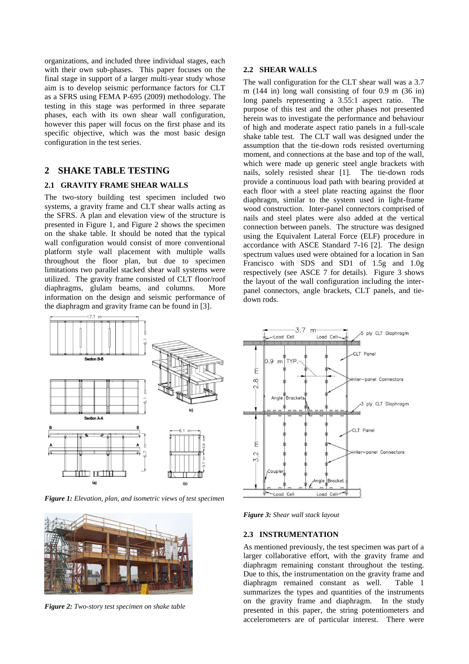organizations, and included three individual stages, each with their own sub-phases. This paper focuses on the final stage in support of a larger multi-year study whose aim is to develop seismic performance factors for CLT as a SFRS using FEMA P-695 (2009) methodology. The testing in this stage was performed in three separate phases, each with its own shear wall configuration, however this paper will focus on the first phase and its specific objective, which was the most basic design configuration in the test series.

# **2 SHAKE TABLE TESTING**

### **2.1 GRAVITY FRAME SHEAR WALLS**

The two-story building test specimen included two systems, a gravity frame and CLT shear walls acting as the SFRS. A plan and elevation view of the structure is presented in Figure 1, and Figure 2 shows the specimen on the shake table. It should be noted that the typical wall configuration would consist of more conventional platform style wall placement with multiple walls throughout the floor plan, but due to specimen limitations two parallel stacked shear wall systems were utilized. The gravity frame consisted of CLT floor/roof diaphragms, glulam beams, and columns. More information on the design and seismic performance of the diaphragm and gravity frame can be found in [3].



*Figure 1: Elevation, plan, and isometric views of test specimen* 



*Figure 2: Two-story test specimen on shake table*

#### **2.2 SHEAR WALLS**

The wall configuration for the CLT shear wall was a 3.7 m (144 in) long wall consisting of four 0.9 m (36 in) long panels representing a 3.55:1 aspect ratio. The purpose of this test and the other phases not presented herein was to investigate the performance and behaviour of high and moderate aspect ratio panels in a full-scale shake table test. The CLT wall was designed under the assumption that the tie-down rods resisted overturning moment, and connections at the base and top of the wall, which were made up generic steel angle brackets with nails, solely resisted shear [1]. The tie-down rods provide a continuous load path with bearing provided at each floor with a steel plate reacting against the floor diaphragm, similar to the system used in light-frame wood construction. Inter-panel connectors comprised of nails and steel plates were also added at the vertical connection between panels. The structure was designed using the Equivalent Lateral Force (ELF) procedure in accordance with ASCE Standard 7-16 [2]. The design spectrum values used were obtained for a location in San Francisco with SDS and SD1 of 1.5g and 1.0g respectively (see ASCE 7 for details). Figure 3 shows the layout of the wall configuration including the interpanel connectors, angle brackets, CLT panels, and tiedown rods.



*Figure 3: Shear wall stack layout*

#### **2.3 INSTRUMENTATION**

As mentioned previously, the test specimen was part of a larger collaborative effort, with the gravity frame and diaphragm remaining constant throughout the testing. Due to this, the instrumentation on the gravity frame and diaphragm remained constant as well. Table 1 summarizes the types and quantities of the instruments on the gravity frame and diaphragm. In the study presented in this paper, the string potentiometers and accelerometers are of particular interest. There were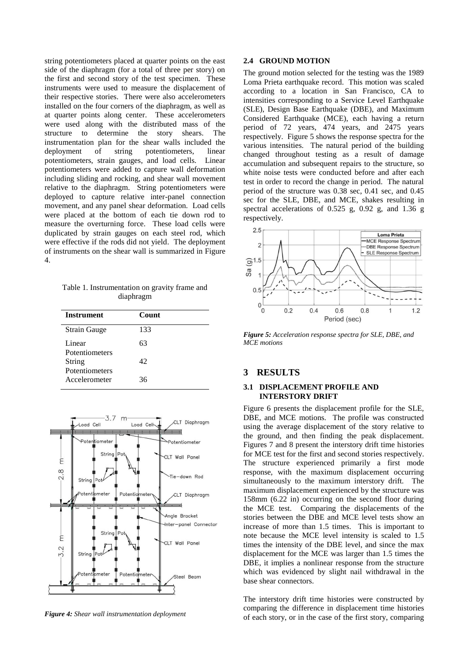string potentiometers placed at quarter points on the east side of the diaphragm (for a total of three per story) on the first and second story of the test specimen. These instruments were used to measure the displacement of their respective stories. There were also accelerometers installed on the four corners of the diaphragm, as well as at quarter points along center. These accelerometers were used along with the distributed mass of the structure to determine the story shears. The instrumentation plan for the shear walls included the deployment of string potentiometers, linear potentiometers, strain gauges, and load cells. Linear potentiometers were added to capture wall deformation including sliding and rocking, and shear wall movement relative to the diaphragm. String potentiometers were deployed to capture relative inter-panel connection movement, and any panel shear deformation. Load cells were placed at the bottom of each tie down rod to measure the overturning force. These load cells were duplicated by strain gauges on each steel rod, which were effective if the rods did not yield. The deployment of instruments on the shear wall is summarized in Figure 4.

Table 1. Instrumentation on gravity frame and diaphragm

| <b>Instrument</b>        | <b>Count</b> |  |
|--------------------------|--------------|--|
| <b>Strain Gauge</b>      | 133          |  |
| Linear<br>Potentiometers | 63           |  |
| String<br>Potentiometers | 42           |  |
| Accelerometer            | 36           |  |



*Figure 4: Shear wall instrumentation deployment*

#### **2.4 GROUND MOTION**

The ground motion selected for the testing was the 1989 Loma Prieta earthquake record. This motion was scaled according to a location in San Francisco, CA to intensities corresponding to a Service Level Earthquake (SLE), Design Base Earthquake (DBE), and Maximum Considered Earthquake (MCE), each having a return period of 72 years, 474 years, and 2475 years respectively. Figure 5 shows the response spectra for the various intensities. The natural period of the building changed throughout testing as a result of damage accumulation and subsequent repairs to the structure, so white noise tests were conducted before and after each test in order to record the change in period. The natural period of the structure was 0.38 sec, 0.41 sec, and 0.45 sec for the SLE, DBE, and MCE, shakes resulting in spectral accelerations of 0.525 g, 0.92 g, and 1.36 g respectively.



*Figure 5: Acceleration response spectra for SLE, DBE, and MCE motions*

### **3 RESULTS**

#### **3.1 DISPLACEMENT PROFILE AND INTERSTORY DRIFT**

Figure 6 presents the displacement profile for the SLE, DBE, and MCE motions. The profile was constructed using the average displacement of the story relative to the ground, and then finding the peak displacement. Figures 7 and 8 present the interstory drift time histories for MCE test for the first and second stories respectively. The structure experienced primarily a first mode response, with the maximum displacement occurring simultaneously to the maximum interstory drift. The maximum displacement experienced by the structure was 158mm (6.22 in) occurring on the second floor during the MCE test. Comparing the displacements of the stories between the DBE and MCE level tests show an increase of more than 1.5 times. This is important to note because the MCE level intensity is scaled to 1.5 times the intensity of the DBE level, and since the max displacement for the MCE was larger than 1.5 times the DBE, it implies a nonlinear response from the structure which was evidenced by slight nail withdrawal in the base shear connectors.

The interstory drift time histories were constructed by comparing the difference in displacement time histories of each story, or in the case of the first story, comparing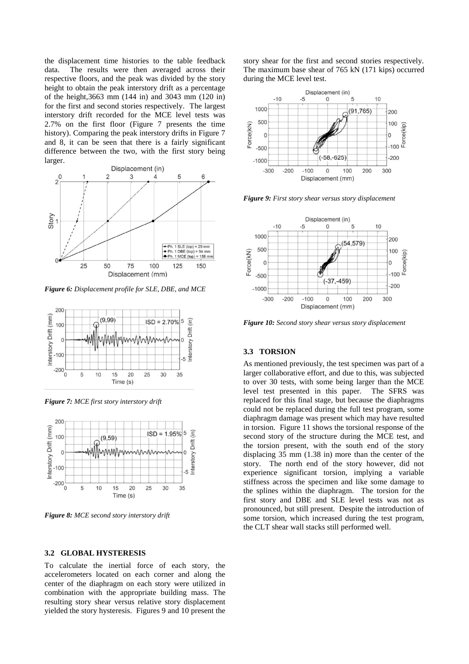the displacement time histories to the table feedback data. The results were then averaged across their respective floors, and the peak was divided by the story height to obtain the peak interstory drift as a percentage of the height,3663 mm (144 in) and 3043 mm (120 in) for the first and second stories respectively. The largest interstory drift recorded for the MCE level tests was 2.7% on the first floor (Figure 7 presents the time history). Comparing the peak interstory drifts in Figure 7 and 8, it can be seen that there is a fairly significant difference between the two, with the first story being larger.



*Figure 6: Displacement profile for SLE, DBE, and MCE* 



*Figure 7: MCE first story interstory drift* 



*Figure 8: MCE second story interstory drift*

#### **3.2 GLOBAL HYSTERESIS**

To calculate the inertial force of each story, the accelerometers located on each corner and along the center of the diaphragm on each story were utilized in combination with the appropriate building mass. The resulting story shear versus relative story displacement yielded the story hysteresis. Figures 9 and 10 present the

story shear for the first and second stories respectively. The maximum base shear of 765 kN (171 kips) occurred during the MCE level test.



*Figure 9: First story shear versus story displacement* 



*Figure 10: Second story shear versus story displacement* 

#### **3.3 TORSION**

As mentioned previously, the test specimen was part of a larger collaborative effort, and due to this, was subjected to over 30 tests, with some being larger than the MCE level test presented in this paper. The SFRS was replaced for this final stage, but because the diaphragms could not be replaced during the full test program, some diaphragm damage was present which may have resulted in torsion. Figure 11 shows the torsional response of the second story of the structure during the MCE test, and the torsion present, with the south end of the story displacing 35 mm (1.38 in) more than the center of the story. The north end of the story however, did not experience significant torsion, implying a variable stiffness across the specimen and like some damage to the splines within the diaphragm. The torsion for the first story and DBE and SLE level tests was not as pronounced, but still present. Despite the introduction of some torsion, which increased during the test program, the CLT shear wall stacks still performed well.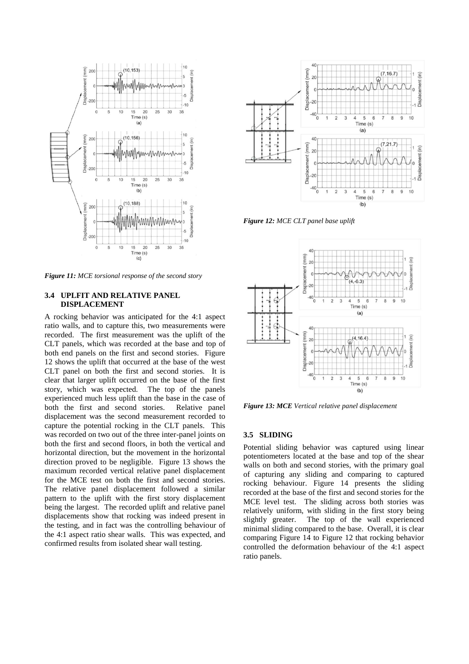

*Figure 11: MCE torsional response of the second story*

#### **3.4 UPLFIT AND RELATIVE PANEL DISPLACEMENT**

A rocking behavior was anticipated for the 4:1 aspect ratio walls, and to capture this, two measurements were recorded. The first measurement was the uplift of the CLT panels, which was recorded at the base and top of both end panels on the first and second stories. Figure 12 shows the uplift that occurred at the base of the west CLT panel on both the first and second stories. It is clear that larger uplift occurred on the base of the first story, which was expected. The top of the panels experienced much less uplift than the base in the case of both the first and second stories. Relative panel displacement was the second measurement recorded to capture the potential rocking in the CLT panels. This was recorded on two out of the three inter-panel joints on both the first and second floors, in both the vertical and horizontal direction, but the movement in the horizontal direction proved to be negligible. Figure 13 shows the maximum recorded vertical relative panel displacement for the MCE test on both the first and second stories. The relative panel displacement followed a similar pattern to the uplift with the first story displacement being the largest. The recorded uplift and relative panel displacements show that rocking was indeed present in the testing, and in fact was the controlling behaviour of the 4:1 aspect ratio shear walls. This was expected, and confirmed results from isolated shear wall testing.



*Figure 12: MCE CLT panel base uplift*



*Figure 13: MCE Vertical relative panel displacement* 

#### **3.5 SLIDING**

Potential sliding behavior was captured using linear potentiometers located at the base and top of the shear walls on both and second stories, with the primary goal of capturing any sliding and comparing to captured rocking behaviour. Figure 14 presents the sliding recorded at the base of the first and second stories for the MCE level test. The sliding across both stories was relatively uniform, with sliding in the first story being slightly greater. The top of the wall experienced minimal sliding compared to the base. Overall, it is clear comparing Figure 14 to Figure 12 that rocking behavior controlled the deformation behaviour of the 4:1 aspect ratio panels.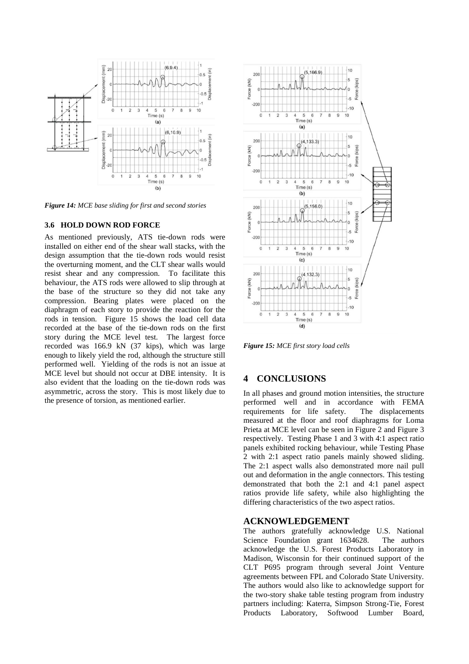

*Figure 14: MCE base sliding for first and second stories*

#### **3.6 HOLD DOWN ROD FORCE**

As mentioned previously, ATS tie-down rods were installed on either end of the shear wall stacks, with the design assumption that the tie-down rods would resist the overturning moment, and the CLT shear walls would resist shear and any compression. To facilitate this behaviour, the ATS rods were allowed to slip through at the base of the structure so they did not take any compression. Bearing plates were placed on the diaphragm of each story to provide the reaction for the rods in tension. Figure 15 shows the load cell data recorded at the base of the tie-down rods on the first story during the MCE level test. The largest force recorded was 166.9 kN (37 kips), which was large enough to likely yield the rod, although the structure still performed well. Yielding of the rods is not an issue at MCE level but should not occur at DBE intensity. It is also evident that the loading on the tie-down rods was asymmetric, across the story. This is most likely due to the presence of torsion, as mentioned earlier.



*Figure 15: MCE first story load cells*

# **4 CONCLUSIONS**

In all phases and ground motion intensities, the structure performed well and in accordance with FEMA requirements for life safety. The displacements measured at the floor and roof diaphragms for Loma Prieta at MCE level can be seen in Figure 2 and Figure 3 respectively. Testing Phase 1 and 3 with 4:1 aspect ratio panels exhibited rocking behaviour, while Testing Phase 2 with 2:1 aspect ratio panels mainly showed sliding. The 2:1 aspect walls also demonstrated more nail pull out and deformation in the angle connectors. This testing demonstrated that both the 2:1 and 4:1 panel aspect ratios provide life safety, while also highlighting the differing characteristics of the two aspect ratios.

# **ACKNOWLEDGEMENT**

The authors gratefully acknowledge U.S. National Science Foundation grant 1634628. The authors acknowledge the U.S. Forest Products Laboratory in Madison, Wisconsin for their continued support of the CLT P695 program through several Joint Venture agreements between FPL and Colorado State University. The authors would also like to acknowledge support for the two-story shake table testing program from industry partners including: Katerra, Simpson Strong-Tie, Forest Products Laboratory, Softwood Lumber Board,